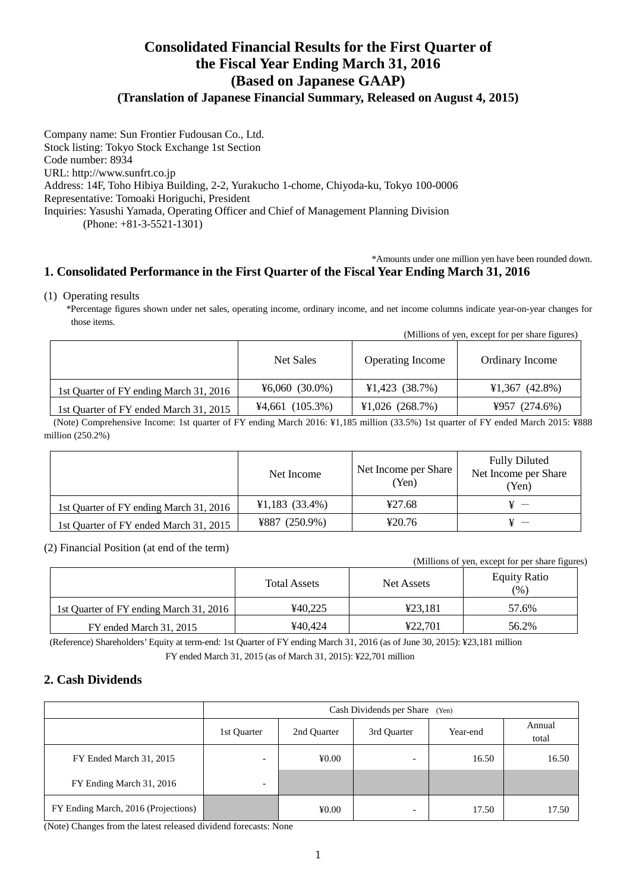# **Consolidated Financial Results for the First Quarter of the Fiscal Year Ending March 31, 2016 (Based on Japanese GAAP)**

## **(Translation of Japanese Financial Summary, Released on August 4, 2015)**

Company name: Sun Frontier Fudousan Co., Ltd. Stock listing: Tokyo Stock Exchange 1st Section Code number: 8934 URL: http://www.sunfrt.co.jp Address: 14F, Toho Hibiya Building, 2-2, Yurakucho 1-chome, Chiyoda-ku, Tokyo 100-0006 Representative: Tomoaki Horiguchi, President Inquiries: Yasushi Yamada, Operating Officer and Chief of Management Planning Division (Phone: +81-3-5521-1301)

#### \*Amounts under one million yen have been rounded down. **1. Consolidated Performance in the First Quarter of the Fiscal Year Ending March 31, 2016**

#### (1) Operating results

\*Percentage figures shown under net sales, operating income, ordinary income, and net income columns indicate year-on-year changes for those items.

|                                         | Net Sales        | <b>Operating Income</b> | Ordinary Income                     |
|-----------------------------------------|------------------|-------------------------|-------------------------------------|
| 1st Quarter of FY ending March 31, 2016 | $46,060(30.0\%)$ | $¥1,423$ (38.7%)        | $\text{\textsterling}1,367$ (42.8%) |
| 1st Quarter of FY ended March 31, 2015  | $4,661$ (105.3%) | $¥1,026$ (268.7%)       | ¥957 $(274.6%)$                     |

(Note) Comprehensive Income: 1st quarter of FY ending March 2016: ¥1,185 million (33.5%) 1st quarter of FY ended March 2015: ¥888 million (250.2%)

|                                         | Net Income       | Net Income per Share<br>(Yen) | <b>Fully Diluted</b><br>Net Income per Share<br>Yen) |  |
|-----------------------------------------|------------------|-------------------------------|------------------------------------------------------|--|
| 1st Quarter of FY ending March 31, 2016 | $¥1,183$ (33.4%) | 427.68                        |                                                      |  |
| 1st Quarter of FY ended March 31, 2015  | $4887(250.9\%)$  | 420.76                        |                                                      |  |

#### (2) Financial Position (at end of the term)

(Millions of yen, except for per share figures)

(Millions of yen, except for per share figures)

|                                         | <b>Total Assets</b> | Net Assets | <b>Equity Ratio</b><br>(%) |  |
|-----------------------------------------|---------------------|------------|----------------------------|--|
| 1st Ouarter of FY ending March 31, 2016 | ¥40.225             | ¥23.181    | 57.6%                      |  |
| FY ended March 31, 2015                 | ¥40.424             | ¥22.701    | 56.2%                      |  |

(Reference) Shareholders' Equity at term-end: 1st Quarter of FY ending March 31, 2016 (as of June 30, 2015): ¥23,181 million FY ended March 31, 2015 (as of March 31, 2015): ¥22,701 million

## **2. Cash Dividends**

|                                     | Cash Dividends per Share<br>(Yen) |                            |             |          |                 |
|-------------------------------------|-----------------------------------|----------------------------|-------------|----------|-----------------|
|                                     | 1st Quarter                       | 2nd Quarter                | 3rd Quarter | Year-end | Annual<br>total |
| FY Ended March 31, 2015             |                                   | $\text{\textsterling}0.00$ |             | 16.50    | 16.50           |
| FY Ending March 31, 2016            | $\overline{\phantom{0}}$          |                            |             |          |                 |
| FY Ending March, 2016 (Projections) |                                   | $\text{\textsterling}0.00$ | -           | 17.50    | 17.50           |

(Note) Changes from the latest released dividend forecasts: None